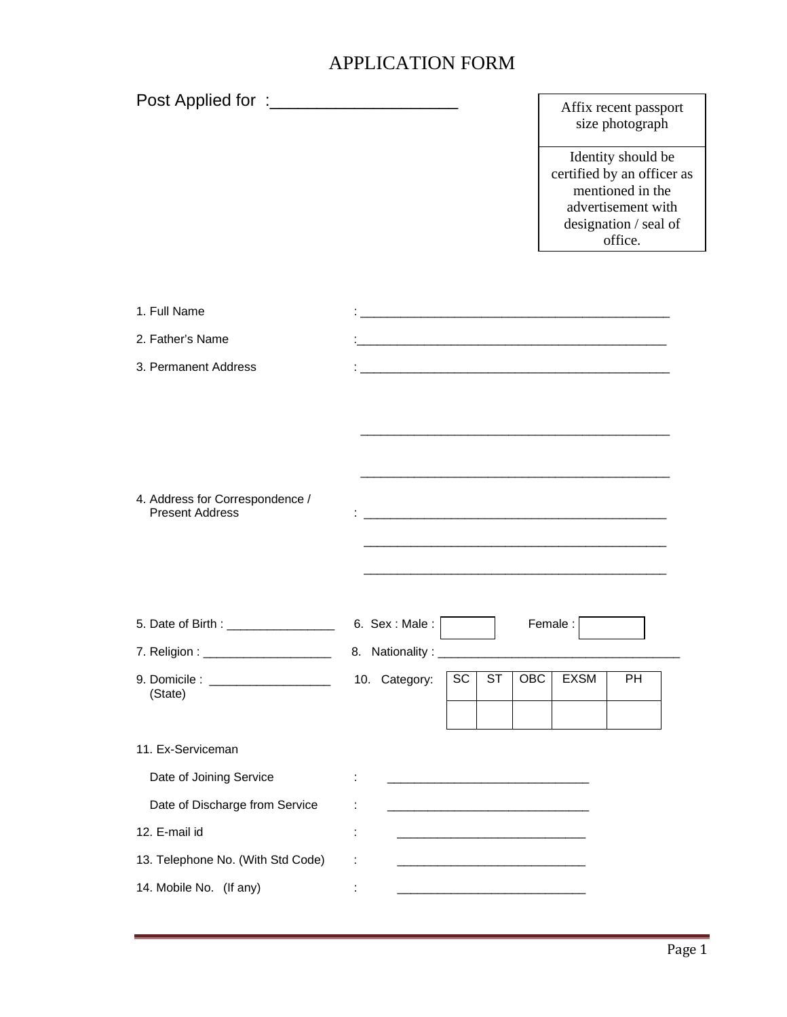## APPLICATION FORM

|                                                           |                                                                                                                      | Affix recent passport<br>size photograph                                                                                       |
|-----------------------------------------------------------|----------------------------------------------------------------------------------------------------------------------|--------------------------------------------------------------------------------------------------------------------------------|
|                                                           |                                                                                                                      | Identity should be<br>certified by an officer as<br>mentioned in the<br>advertisement with<br>designation / seal of<br>office. |
|                                                           |                                                                                                                      |                                                                                                                                |
| 1. Full Name                                              |                                                                                                                      |                                                                                                                                |
| 2. Father's Name                                          | <u> 1989 - Jan James James Barnett, martin de la propinsió de la propinsió de la propinsió de la propinsió de la</u> |                                                                                                                                |
| 3. Permanent Address                                      |                                                                                                                      |                                                                                                                                |
| 4. Address for Correspondence /<br><b>Present Address</b> | and the control of the control of the control of the control of the control of the control of the control of the     |                                                                                                                                |
| 5. Date of Birth : __________________                     | 6. Sex: Male: $\Box$                                                                                                 | Female:                                                                                                                        |
| 7. Religion : ________________________                    |                                                                                                                      |                                                                                                                                |
| (State)                                                   | SC<br>10. Category:<br>ST<br><b>OBC</b>                                                                              | <b>EXSM</b><br><b>PH</b>                                                                                                       |
| 11. Ex-Serviceman                                         |                                                                                                                      |                                                                                                                                |
| Date of Joining Service                                   | ÷                                                                                                                    |                                                                                                                                |
| Date of Discharge from Service                            | ÷                                                                                                                    |                                                                                                                                |
| 12. E-mail id                                             | ÷                                                                                                                    |                                                                                                                                |
| 13. Telephone No. (With Std Code)                         |                                                                                                                      |                                                                                                                                |
| 14. Mobile No. (If any)                                   | ÷                                                                                                                    |                                                                                                                                |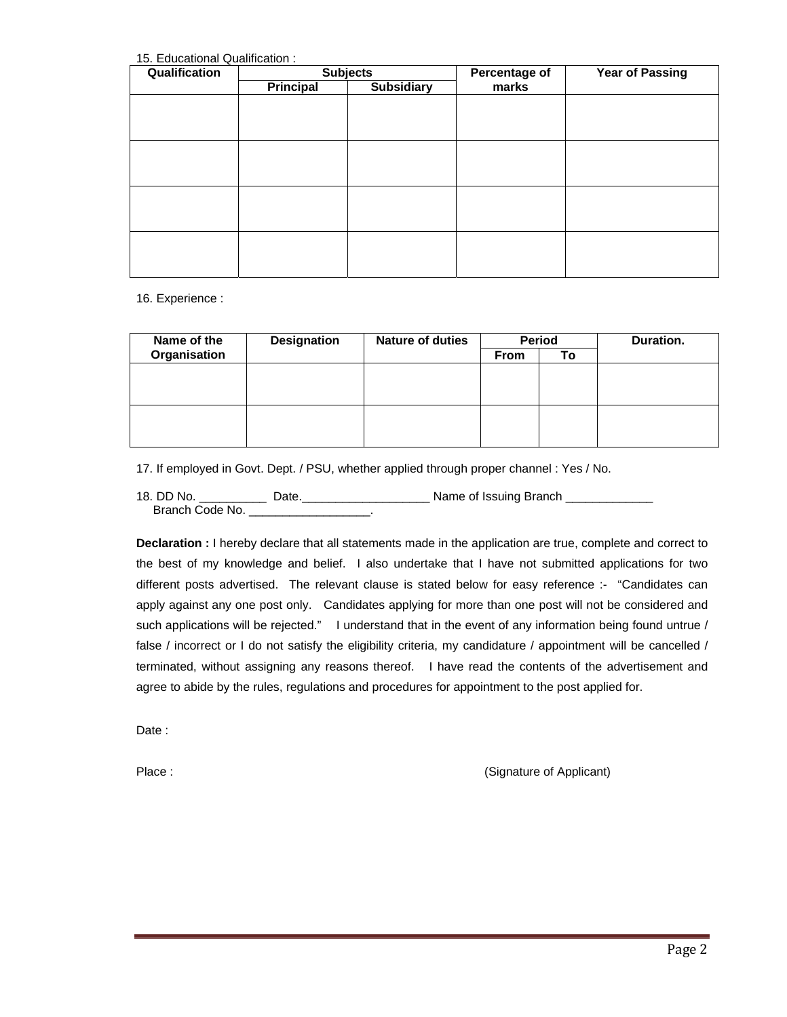15. Educational Qualification :

| Qualification | <b>Subjects</b>  |                   | Percentage of | <b>Year of Passing</b> |
|---------------|------------------|-------------------|---------------|------------------------|
|               | <b>Principal</b> | <b>Subsidiary</b> | marks         |                        |
|               |                  |                   |               |                        |
|               |                  |                   |               |                        |
|               |                  |                   |               |                        |
|               |                  |                   |               |                        |
|               |                  |                   |               |                        |
|               |                  |                   |               |                        |
|               |                  |                   |               |                        |
|               |                  |                   |               |                        |
|               |                  |                   |               |                        |
|               |                  |                   |               |                        |
|               |                  |                   |               |                        |
|               |                  |                   |               |                        |

16. Experience :

| Name of the  | <b>Designation</b> | <b>Nature of duties</b> | <b>Period</b> |    | Duration. |
|--------------|--------------------|-------------------------|---------------|----|-----------|
| Organisation |                    |                         | <b>From</b>   | Τo |           |
|              |                    |                         |               |    |           |
|              |                    |                         |               |    |           |
|              |                    |                         |               |    |           |
|              |                    |                         |               |    |           |
|              |                    |                         |               |    |           |
|              |                    |                         |               |    |           |

17. If employed in Govt. Dept. / PSU, whether applied through proper channel : Yes / No.

18. DD No. \_\_\_\_\_\_\_\_\_\_\_\_\_ Date.\_\_\_\_\_\_\_\_\_\_\_\_\_\_\_\_\_\_\_\_\_\_\_\_\_\_\_ Name of Issuing Branch \_\_\_\_\_\_\_\_\_\_\_\_\_\_\_\_\_\_ Branch Code No. \_

**Declaration :** I hereby declare that all statements made in the application are true, complete and correct to the best of my knowledge and belief. I also undertake that I have not submitted applications for two different posts advertised. The relevant clause is stated below for easy reference :- "Candidates can apply against any one post only. Candidates applying for more than one post will not be considered and such applications will be rejected." I understand that in the event of any information being found untrue / false / incorrect or I do not satisfy the eligibility criteria, my candidature / appointment will be cancelled / terminated, without assigning any reasons thereof. I have read the contents of the advertisement and agree to abide by the rules, regulations and procedures for appointment to the post applied for.

Date:

Place : (Signature of Applicant)